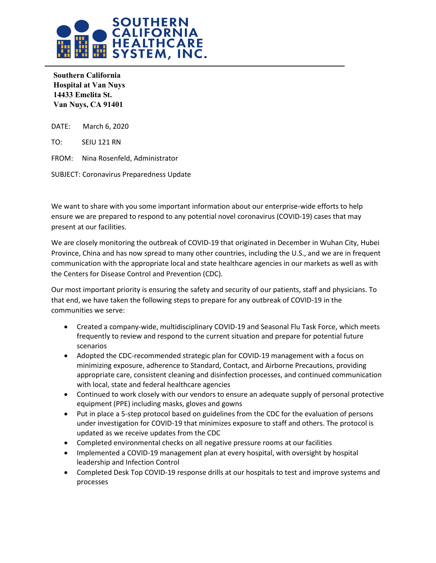

**Southern California Hospital at Van Nuys 14433 Emelita St. Van Nuys, CA 91401** 

DATE: March 6, 2020

TO: SEIU 121 RN

FROM: Nina Rosenfeld, Administrator

SUBJECT: Coronavirus Preparedness Update

We want to share with you some important information about our enterprise-wide efforts to help ensure we are prepared to respond to any potential novel coronavirus (COVID-19) cases that may present at our facilities.

We are closely monitoring the outbreak of COVID-19 that originated in December in Wuhan City, Hubei Province, China and has now spread to many other countries, including the U.S., and we are in frequent communication with the appropriate local and state healthcare agencies in our markets as well as with the Centers for Disease Control and Prevention (CDC).

Our most important priority is ensuring the safety and security of our patients, staff and physicians. To that end, we have taken the following steps to prepare for any outbreak of COVID-19 in the communities we serve:

- Created a company-wide, multidisciplinary COVID-19 and Seasonal Flu Task Force, which meets frequently to review and respond to the current situation and prepare for potential future scenarios
- Adopted the CDC-recommended strategic plan for COVID-19 management with a focus on minimizing exposure, adherence to Standard, Contact, and Airborne Precautions, providing appropriate care, consistent cleaning and disinfection processes, and continued communication with local, state and federal healthcare agencies
- Continued to work closely with our vendors to ensure an adequate supply of personal protective equipment (PPE) including masks, gloves and gowns
- Put in place a 5-step protocol based on guidelines from the CDC for the evaluation of persons under investigation for COVID-19 that minimizes exposure to staff and others. The protocol is updated as we receive updates from the CDC
- Completed environmental checks on all negative pressure rooms at our facilities
- Implemented a COVID-19 management plan at every hospital, with oversight by hospital leadership and Infection Control
- Completed Desk Top COVID-19 response drills at our hospitals to test and improve systems and processes